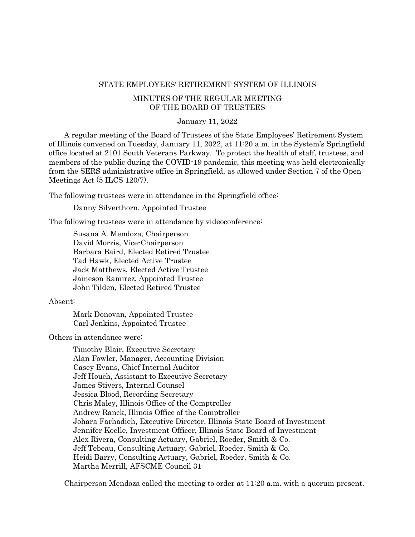#### STATE EMPLOYEES' RETIREMENT SYSTEM OF ILLINOIS

## MINUTES OF THE REGULAR MEETING OF THE BOARD OF TRUSTEES

#### January 11, 2022

A regular meeting of the Board of Trustees of the State Employees' Retirement System of Illinois convened on Tuesday, January 11, 2022, at 11:20 a.m. in the System's Springfield office located at 2101 South Veterans Parkway. To protect the health of staff, trustees, and members of the public during the COVID-19 pandemic, this meeting was held electronically from the SERS administrative office in Springfield, as allowed under Section 7 of the Open Meetings Act (5 ILCS 120/7).

The following trustees were in attendance in the Springfield office:

Danny Silverthorn, Appointed Trustee

The following trustees were in attendance by videoconference:

Susana A. Mendoza, Chairperson David Morris, Vice-Chairperson Barbara Baird, Elected Retired Trustee Tad Hawk, Elected Active Trustee Jack Matthews, Elected Active Trustee Jameson Ramirez, Appointed Trustee John Tilden, Elected Retired Trustee

## Absent:

Mark Donovan, Appointed Trustee Carl Jenkins, Appointed Trustee

Others in attendance were:

Timothy Blair, Executive Secretary Alan Fowler, Manager, Accounting Division Casey Evans, Chief Internal Auditor Jeff Houch, Assistant to Executive Secretary James Stivers, Internal Counsel Jessica Blood, Recording Secretary Chris Maley, Illinois Office of the Comptroller Andrew Ranck, Illinois Office of the Comptroller Johara Farhadieh, Executive Director, Illinois State Board of Investment Jennifer Koelle, Investment Officer, Illinois State Board of Investment Alex Rivera, Consulting Actuary, Gabriel, Roeder, Smith & Co. Jeff Tebeau, Consulting Actuary, Gabriel, Roeder, Smith & Co. Heidi Barry, Consulting Actuary, Gabriel, Roeder, Smith & Co. Martha Merrill, AFSCME Council 31

Chairperson Mendoza called the meeting to order at 11:20 a.m. with a quorum present.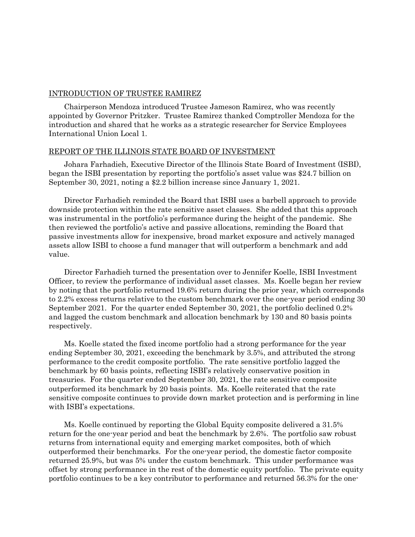# INTRODUCTION OF TRUSTEE RAMIREZ

Chairperson Mendoza introduced Trustee Jameson Ramirez, who was recently appointed by Governor Pritzker. Trustee Ramirez thanked Comptroller Mendoza for the introduction and shared that he works as a strategic researcher for Service Employees International Union Local 1.

## REPORT OF THE ILLINOIS STATE BOARD OF INVESTMENT

Johara Farhadieh, Executive Director of the Illinois State Board of Investment (ISBI), began the ISBI presentation by reporting the portfolio's asset value was \$24.7 billion on September 30, 2021, noting a \$2.2 billion increase since January 1, 2021.

Director Farhadieh reminded the Board that ISBI uses a barbell approach to provide downside protection within the rate sensitive asset classes. She added that this approach was instrumental in the portfolio's performance during the height of the pandemic. She then reviewed the portfolio's active and passive allocations, reminding the Board that passive investments allow for inexpensive, broad market exposure and actively managed assets allow ISBI to choose a fund manager that will outperform a benchmark and add value.

Director Farhadieh turned the presentation over to Jennifer Koelle, ISBI Investment Officer, to review the performance of individual asset classes. Ms. Koelle began her review by noting that the portfolio returned 19.6% return during the prior year, which corresponds to 2.2% excess returns relative to the custom benchmark over the one-year period ending 30 September 2021. For the quarter ended September 30, 2021, the portfolio declined 0.2% and lagged the custom benchmark and allocation benchmark by 130 and 80 basis points respectively.

Ms. Koelle stated the fixed income portfolio had a strong performance for the year ending September 30, 2021, exceeding the benchmark by 3.5%, and attributed the strong performance to the credit composite portfolio. The rate sensitive portfolio lagged the benchmark by 60 basis points, reflecting ISBI's relatively conservative position in treasuries. For the quarter ended September 30, 2021, the rate sensitive composite outperformed its benchmark by 20 basis points. Ms. Koelle reiterated that the rate sensitive composite continues to provide down market protection and is performing in line with ISBI's expectations.

Ms. Koelle continued by reporting the Global Equity composite delivered a 31.5% return for the one-year period and beat the benchmark by 2.6%. The portfolio saw robust returns from international equity and emerging market composites, both of which outperformed their benchmarks. For the one-year period, the domestic factor composite returned 25.9%, but was 5% under the custom benchmark. This under performance was offset by strong performance in the rest of the domestic equity portfolio. The private equity portfolio continues to be a key contributor to performance and returned 56.3% for the one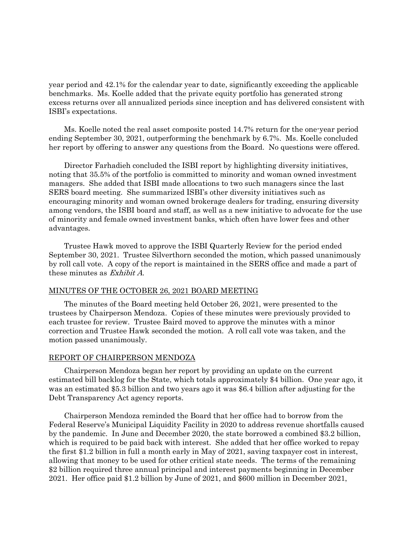year period and 42.1% for the calendar year to date, significantly exceeding the applicable benchmarks. Ms. Koelle added that the private equity portfolio has generated strong excess returns over all annualized periods since inception and has delivered consistent with ISBI's expectations.

Ms. Koelle noted the real asset composite posted 14.7% return for the one-year period ending September 30, 2021, outperforming the benchmark by 6.7%. Ms. Koelle concluded her report by offering to answer any questions from the Board. No questions were offered.

Director Farhadieh concluded the ISBI report by highlighting diversity initiatives, noting that 35.5% of the portfolio is committed to minority and woman owned investment managers. She added that ISBI made allocations to two such managers since the last SERS board meeting. She summarized ISBI's other diversity initiatives such as encouraging minority and woman owned brokerage dealers for trading, ensuring diversity among vendors, the ISBI board and staff, as well as a new initiative to advocate for the use of minority and female owned investment banks, which often have lower fees and other advantages.

Trustee Hawk moved to approve the ISBI Quarterly Review for the period ended September 30, 2021. Trustee Silverthorn seconded the motion, which passed unanimously by roll call vote. A copy of the report is maintained in the SERS office and made a part of these minutes as Exhibit A.

## MINUTES OF THE OCTOBER 26, 2021 BOARD MEETING

The minutes of the Board meeting held October 26, 2021, were presented to the trustees by Chairperson Mendoza. Copies of these minutes were previously provided to each trustee for review. Trustee Baird moved to approve the minutes with a minor correction and Trustee Hawk seconded the motion. A roll call vote was taken, and the motion passed unanimously.

#### REPORT OF CHAIRPERSON MENDOZA

Chairperson Mendoza began her report by providing an update on the current estimated bill backlog for the State, which totals approximately \$4 billion. One year ago, it was an estimated \$5.3 billion and two years ago it was \$6.4 billion after adjusting for the Debt Transparency Act agency reports.

Chairperson Mendoza reminded the Board that her office had to borrow from the Federal Reserve's Municipal Liquidity Facility in 2020 to address revenue shortfalls caused by the pandemic. In June and December 2020, the state borrowed a combined \$3.2 billion, which is required to be paid back with interest. She added that her office worked to repay the first \$1.2 billion in full a month early in May of 2021, saving taxpayer cost in interest, allowing that money to be used for other critical state needs. The terms of the remaining \$2 billion required three annual principal and interest payments beginning in December 2021. Her office paid \$1.2 billion by June of 2021, and \$600 million in December 2021,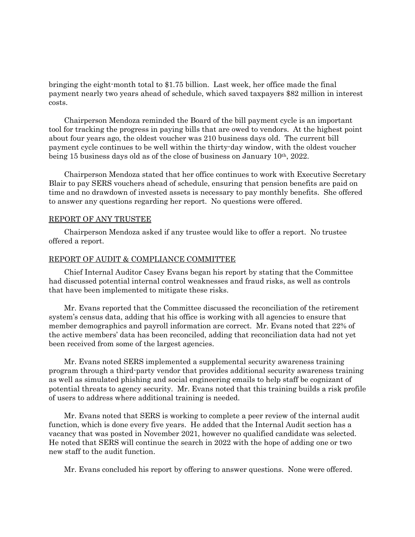bringing the eight-month total to \$1.75 billion. Last week, her office made the final payment nearly two years ahead of schedule, which saved taxpayers \$82 million in interest costs.

Chairperson Mendoza reminded the Board of the bill payment cycle is an important tool for tracking the progress in paying bills that are owed to vendors. At the highest point about four years ago, the oldest voucher was 210 business days old. The current bill payment cycle continues to be well within the thirty-day window, with the oldest voucher being 15 business days old as of the close of business on January 10th, 2022.

Chairperson Mendoza stated that her office continues to work with Executive Secretary Blair to pay SERS vouchers ahead of schedule, ensuring that pension benefits are paid on time and no drawdown of invested assets is necessary to pay monthly benefits. She offered to answer any questions regarding her report. No questions were offered.

## REPORT OF ANY TRUSTEE

Chairperson Mendoza asked if any trustee would like to offer a report. No trustee offered a report.

## REPORT OF AUDIT & COMPLIANCE COMMITTEE

Chief Internal Auditor Casey Evans began his report by stating that the Committee had discussed potential internal control weaknesses and fraud risks, as well as controls that have been implemented to mitigate these risks.

Mr. Evans reported that the Committee discussed the reconciliation of the retirement system's census data, adding that his office is working with all agencies to ensure that member demographics and payroll information are correct. Mr. Evans noted that 22% of the active members' data has been reconciled, adding that reconciliation data had not yet been received from some of the largest agencies.

Mr. Evans noted SERS implemented a supplemental security awareness training program through a third-party vendor that provides additional security awareness training as well as simulated phishing and social engineering emails to help staff be cognizant of potential threats to agency security. Mr. Evans noted that this training builds a risk profile of users to address where additional training is needed.

Mr. Evans noted that SERS is working to complete a peer review of the internal audit function, which is done every five years. He added that the Internal Audit section has a vacancy that was posted in November 2021, however no qualified candidate was selected. He noted that SERS will continue the search in 2022 with the hope of adding one or two new staff to the audit function.

Mr. Evans concluded his report by offering to answer questions. None were offered.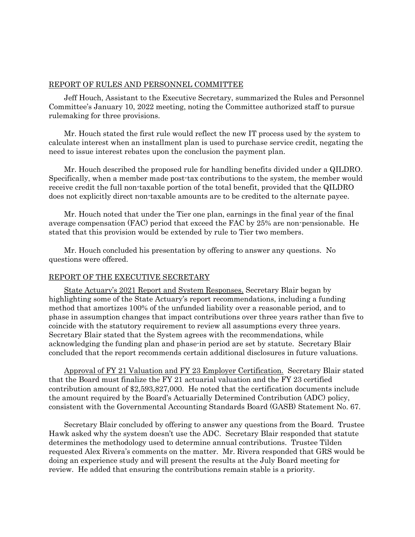## REPORT OF RULES AND PERSONNEL COMMITTEE

Jeff Houch, Assistant to the Executive Secretary, summarized the Rules and Personnel Committee's January 10, 2022 meeting, noting the Committee authorized staff to pursue rulemaking for three provisions.

Mr. Houch stated the first rule would reflect the new IT process used by the system to calculate interest when an installment plan is used to purchase service credit, negating the need to issue interest rebates upon the conclusion the payment plan.

Mr. Houch described the proposed rule for handling benefits divided under a QILDRO. Specifically, when a member made post-tax contributions to the system, the member would receive credit the full non-taxable portion of the total benefit, provided that the QILDRO does not explicitly direct non-taxable amounts are to be credited to the alternate payee.

Mr. Houch noted that under the Tier one plan, earnings in the final year of the final average compensation (FAC) period that exceed the FAC by 25% are non-pensionable. He stated that this provision would be extended by rule to Tier two members.

Mr. Houch concluded his presentation by offering to answer any questions. No questions were offered.

## REPORT OF THE EXECUTIVE SECRETARY

State Actuary's 2021 Report and System Responses. Secretary Blair began by highlighting some of the State Actuary's report recommendations, including a funding method that amortizes 100% of the unfunded liability over a reasonable period, and to phase in assumption changes that impact contributions over three years rather than five to coincide with the statutory requirement to review all assumptions every three years. Secretary Blair stated that the System agrees with the recommendations, while acknowledging the funding plan and phase-in period are set by statute. Secretary Blair concluded that the report recommends certain additional disclosures in future valuations.

Approval of FY 21 Valuation and FY 23 Employer Certification. Secretary Blair stated that the Board must finalize the FY 21 actuarial valuation and the FY 23 certified contribution amount of \$2,593,827,000. He noted that the certification documents include the amount required by the Board's Actuarially Determined Contribution (ADC) policy, consistent with the Governmental Accounting Standards Board (GASB) Statement No. 67.

Secretary Blair concluded by offering to answer any questions from the Board. Trustee Hawk asked why the system doesn't use the ADC. Secretary Blair responded that statute determines the methodology used to determine annual contributions. Trustee Tilden requested Alex Rivera's comments on the matter. Mr. Rivera responded that GRS would be doing an experience study and will present the results at the July Board meeting for review. He added that ensuring the contributions remain stable is a priority.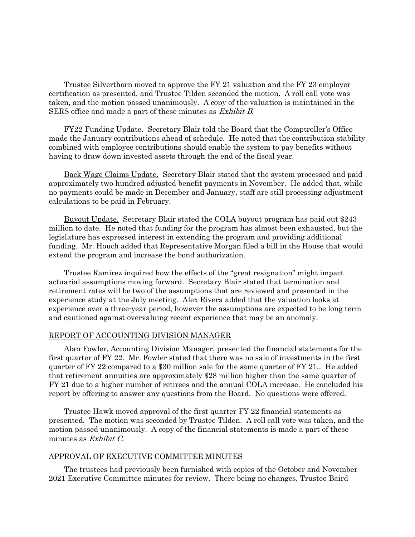Trustee Silverthorn moved to approve the FY 21 valuation and the FY 23 employer certification as presented, and Trustee Tilden seconded the motion. A roll call vote was taken, and the motion passed unanimously. A copy of the valuation is maintained in the SERS office and made a part of these minutes as Exhibit B.

FY22 Funding Update. Secretary Blair told the Board that the Comptroller's Office made the January contributions ahead of schedule. He noted that the contribution stability combined with employee contributions should enable the system to pay benefits without having to draw down invested assets through the end of the fiscal year.

Back Wage Claims Update. Secretary Blair stated that the system processed and paid approximately two hundred adjusted benefit payments in November. He added that, while no payments could be made in December and January, staff are still processing adjustment calculations to be paid in February.

Buyout Update. Secretary Blair stated the COLA buyout program has paid out \$243 million to date. He noted that funding for the program has almost been exhausted, but the legislature has expressed interest in extending the program and providing additional funding. Mr. Houch added that Representative Morgan filed a bill in the House that would extend the program and increase the bond authorization.

Trustee Ramirez inquired how the effects of the "great resignation" might impact actuarial assumptions moving forward. Secretary Blair stated that termination and retirement rates will be two of the assumptions that are reviewed and presented in the experience study at the July meeting. Alex Rivera added that the valuation looks at experience over a three-year period, however the assumptions are expected to be long term and cautioned against overvaluing recent experience that may be an anomaly.

# REPORT OF ACCOUNTING DIVISION MANAGER

Alan Fowler, Accounting Division Manager, presented the financial statements for the first quarter of FY 22. Mr. Fowler stated that there was no sale of investments in the first quarter of FY 22 compared to a \$30 million sale for the same quarter of FY 21.. He added that retirement annuities are approximately \$28 million higher than the same quarter of FY 21 due to a higher number of retirees and the annual COLA increase. He concluded his report by offering to answer any questions from the Board. No questions were offered.

Trustee Hawk moved approval of the first quarter FY 22 financial statements as presented. The motion was seconded by Trustee Tilden. A roll call vote was taken, and the motion passed unanimously. A copy of the financial statements is made a part of these minutes as Exhibit C.

## APPROVAL OF EXECUTIVE COMMITTEE MINUTES

The trustees had previously been furnished with copies of the October and November 2021 Executive Committee minutes for review. There being no changes, Trustee Baird